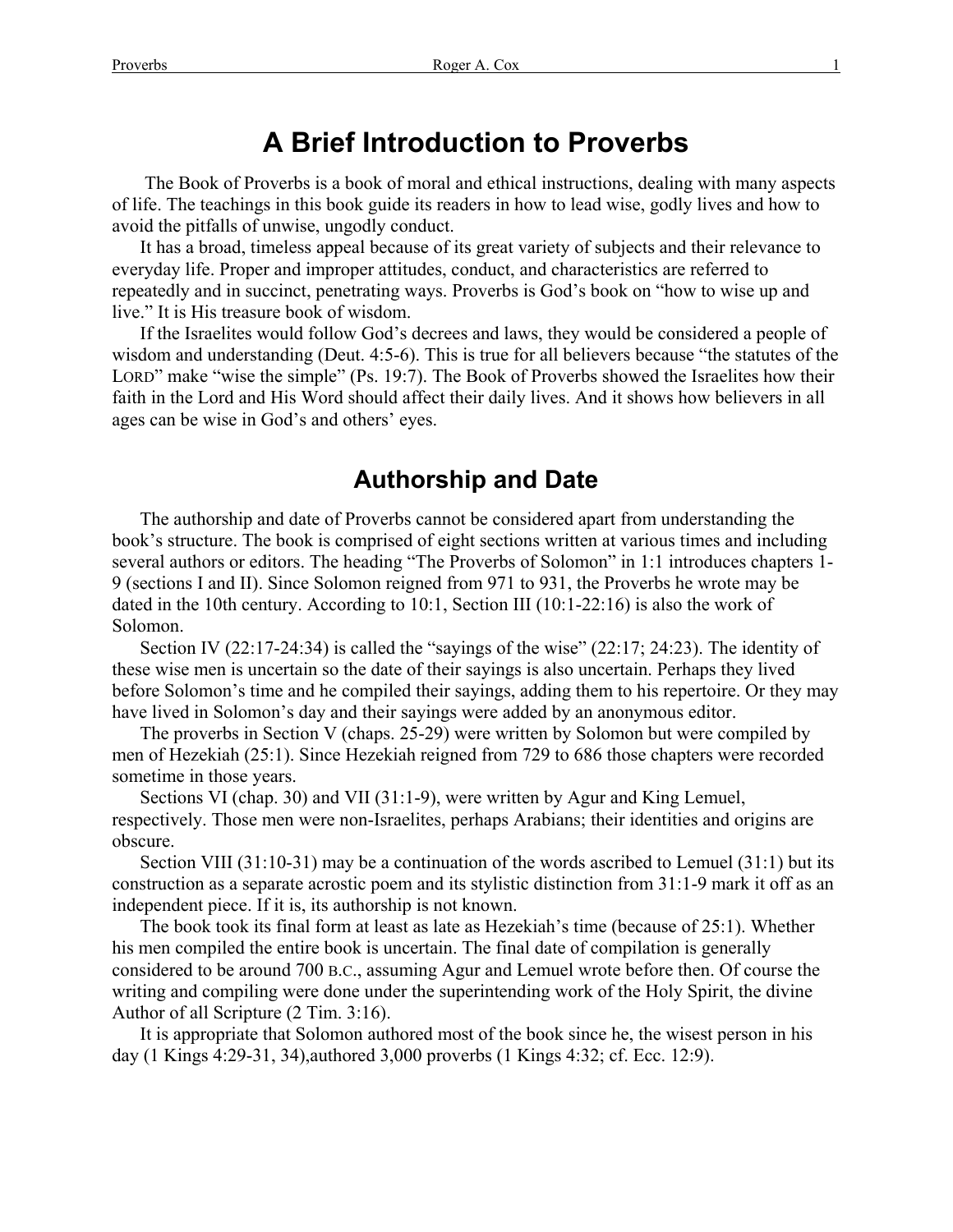# **A Brief Introduction to Proverbs**

 The Book of Proverbs is a book of moral and ethical instructions, dealing with many aspects of life. The teachings in this book guide its readers in how to lead wise, godly lives and how to avoid the pitfalls of unwise, ungodly conduct.

It has a broad, timeless appeal because of its great variety of subjects and their relevance to everyday life. Proper and improper attitudes, conduct, and characteristics are referred to repeatedly and in succinct, penetrating ways. Proverbs is God's book on "how to wise up and live." It is His treasure book of wisdom.

If the Israelites would follow God's decrees and laws, they would be considered a people of wisdom and understanding (Deut. 4:5-6). This is true for all believers because "the statutes of the LORD" make "wise the simple" (Ps. 19:7). The Book of Proverbs showed the Israelites how their faith in the Lord and His Word should affect their daily lives. And it shows how believers in all ages can be wise in God's and others' eyes.

### **Authorship and Date**

The authorship and date of Proverbs cannot be considered apart from understanding the book's structure. The book is comprised of eight sections written at various times and including several authors or editors. The heading "The Proverbs of Solomon" in 1:1 introduces chapters 1- 9 (sections I and II). Since Solomon reigned from 971 to 931, the Proverbs he wrote may be dated in the 10th century. According to 10:1, Section III (10:1-22:16) is also the work of Solomon.

Section IV (22:17-24:34) is called the "sayings of the wise" (22:17; 24:23). The identity of these wise men is uncertain so the date of their sayings is also uncertain. Perhaps they lived before Solomon's time and he compiled their sayings, adding them to his repertoire. Or they may have lived in Solomon's day and their sayings were added by an anonymous editor.

The proverbs in Section V (chaps. 25-29) were written by Solomon but were compiled by men of Hezekiah (25:1). Since Hezekiah reigned from 729 to 686 those chapters were recorded sometime in those years.

Sections VI (chap. 30) and VII (31:1-9), were written by Agur and King Lemuel, respectively. Those men were non-Israelites, perhaps Arabians; their identities and origins are obscure.

Section VIII (31:10-31) may be a continuation of the words ascribed to Lemuel (31:1) but its construction as a separate acrostic poem and its stylistic distinction from 31:1-9 mark it off as an independent piece. If it is, its authorship is not known.

The book took its final form at least as late as Hezekiah's time (because of 25:1). Whether his men compiled the entire book is uncertain. The final date of compilation is generally considered to be around 700 B.C., assuming Agur and Lemuel wrote before then. Of course the writing and compiling were done under the superintending work of the Holy Spirit, the divine Author of all Scripture (2 Tim. 3:16).

It is appropriate that Solomon authored most of the book since he, the wisest person in his day (1 Kings 4:29-31, 34),authored 3,000 proverbs (1 Kings 4:32; cf. Ecc. 12:9).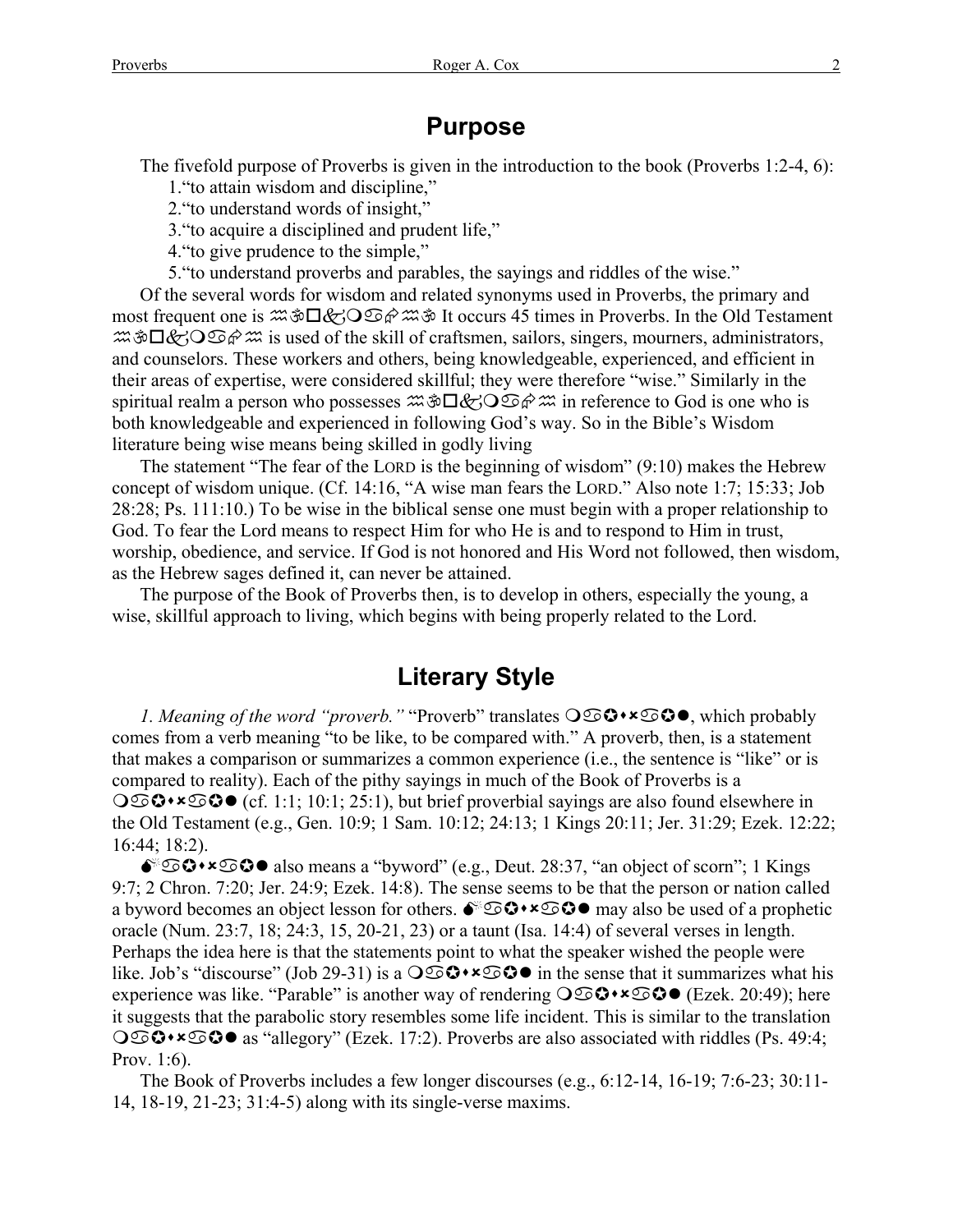### **Purpose**

The fivefold purpose of Proverbs is given in the introduction to the book (Proverbs 1:2-4, 6):

1."to attain wisdom and discipline,"

2."to understand words of insight,"

3."to acquire a disciplined and prudent life,"

4."to give prudence to the simple,"

5."to understand proverbs and parables, the sayings and riddles of the wise."

Of the several words for wisdom and related synonyms used in Proverbs, the primary and most frequent one is  $\mathfrak{Mod} \mathfrak{D} \otimes \mathfrak{S} \mathfrak{D}$   $\mathfrak{A} \otimes \mathfrak{S} \mathfrak{D}$  it occurs 45 times in Proverbs. In the Old Testament  $\mathcal{R}\rightarrow\mathcal{S}\rightarrow\mathcal{S}\rightarrow\mathcal{S}\rightarrow\mathcal{S}$  is used of the skill of craftsmen, sailors, singers, mourners, administrators, and counselors. These workers and others, being knowledgeable, experienced, and efficient in their areas of expertise, were considered skillful; they were therefore "wise." Similarly in the spiritual realm a person who possesses  $\mathfrak{B} \Box \mathcal{L} \Theta \Box \mathcal{L}$  in reference to God is one who is both knowledgeable and experienced in following God's way. So in the Bible's Wisdom literature being wise means being skilled in godly living

The statement "The fear of the LORD is the beginning of wisdom" (9:10) makes the Hebrew concept of wisdom unique. (Cf. 14:16, "A wise man fears the LORD." Also note 1:7; 15:33; Job 28:28; Ps. 111:10.) To be wise in the biblical sense one must begin with a proper relationship to God. To fear the Lord means to respect Him for who He is and to respond to Him in trust, worship, obedience, and service. If God is not honored and His Word not followed, then wisdom, as the Hebrew sages defined it, can never be attained.

The purpose of the Book of Proverbs then, is to develop in others, especially the young, a wise, skillful approach to living, which begins with being properly related to the Lord.

### **Literary Style**

*1. Meaning of the word "proverb."* "Proverb" translates  $O\mathfrak{S}$ **+\*** $\mathfrak{S}$ **+**, which probably comes from a verb meaning "to be like, to be compared with." A proverb, then, is a statement that makes a comparison or summarizes a common experience (i.e., the sentence is "like" or is compared to reality). Each of the pithy sayings in much of the Book of Proverbs is a  $\bigcirc$   $\mathfrak{S} \bullet \star \mathfrak{S} \bullet$  (cf. 1:1; 10:1; 25:1), but brief proverbial sayings are also found elsewhere in the Old Testament (e.g., Gen. 10:9; 1 Sam. 10:12; 24:13; 1 Kings 20:11; Jer. 31:29; Ezek. 12:22; 16:44; 18:2).

 $\bullet$   $\bullet$   $\bullet$   $\bullet$   $\bullet$  also means a "byword" (e.g., Deut. 28:37, "an object of scorn"; 1 Kings 9:7; 2 Chron. 7:20; Jer. 24:9; Ezek. 14:8). The sense seems to be that the person or nation called a byword becomes an object lesson for others.  $\bullet$   $\circ$   $\bullet \bullet \bullet$  may also be used of a prophetic oracle (Num. 23:7, 18; 24:3, 15, 20-21, 23) or a taunt (Isa. 14:4) of several verses in length. Perhaps the idea here is that the statements point to what the speaker wished the people were like. Job's "discourse" (Job 29-31) is a  $\bigcirc$   $\bullet \bullet \bullet \bullet \bullet$  in the sense that it summarizes what his experience was like. "Parable" is another way of rendering  $\bigcirc$   $\bigcirc \bullet \bullet$  (Ezek. 20:49); here it suggests that the parabolic story resembles some life incident. This is similar to the translation  $\bigcirc$   $\circ$   $\bullet$   $\star$   $\circ$   $\circ$  as "allegory" (Ezek. 17:2). Proverbs are also associated with riddles (Ps. 49:4; Prov. 1:6).

The Book of Proverbs includes a few longer discourses (e.g., 6:12-14, 16-19; 7:6-23; 30:11- 14, 18-19, 21-23; 31:4-5) along with its single-verse maxims.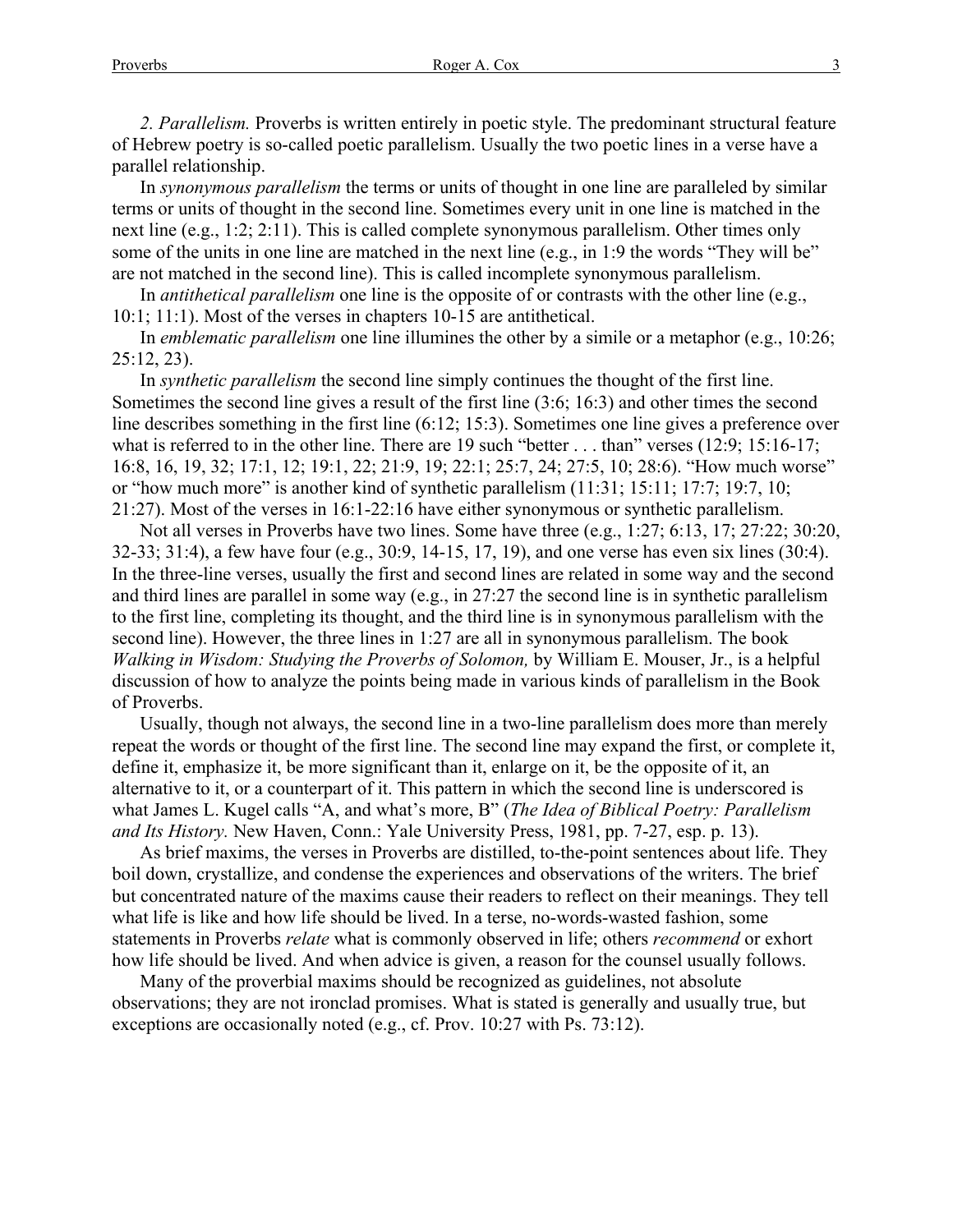*2. Parallelism.* Proverbs is written entirely in poetic style. The predominant structural feature of Hebrew poetry is so-called poetic parallelism. Usually the two poetic lines in a verse have a parallel relationship.

In *synonymous parallelism* the terms or units of thought in one line are paralleled by similar terms or units of thought in the second line. Sometimes every unit in one line is matched in the next line (e.g., 1:2; 2:11). This is called complete synonymous parallelism. Other times only some of the units in one line are matched in the next line (e.g., in 1:9 the words "They will be" are not matched in the second line). This is called incomplete synonymous parallelism.

In *antithetical parallelism* one line is the opposite of or contrasts with the other line (e.g., 10:1; 11:1). Most of the verses in chapters 10-15 are antithetical.

In *emblematic parallelism* one line illumines the other by a simile or a metaphor (e.g., 10:26; 25:12, 23).

In *synthetic parallelism* the second line simply continues the thought of the first line. Sometimes the second line gives a result of the first line (3:6; 16:3) and other times the second line describes something in the first line (6:12; 15:3). Sometimes one line gives a preference over what is referred to in the other line. There are 19 such "better . . . than" verses (12:9; 15:16-17; 16:8, 16, 19, 32; 17:1, 12; 19:1, 22; 21:9, 19; 22:1; 25:7, 24; 27:5, 10; 28:6). "How much worse" or "how much more" is another kind of synthetic parallelism (11:31; 15:11; 17:7; 19:7, 10; 21:27). Most of the verses in 16:1-22:16 have either synonymous or synthetic parallelism.

Not all verses in Proverbs have two lines. Some have three (e.g., 1:27; 6:13, 17; 27:22; 30:20, 32-33; 31:4), a few have four (e.g., 30:9, 14-15, 17, 19), and one verse has even six lines (30:4). In the three-line verses, usually the first and second lines are related in some way and the second and third lines are parallel in some way (e.g., in 27:27 the second line is in synthetic parallelism to the first line, completing its thought, and the third line is in synonymous parallelism with the second line). However, the three lines in 1:27 are all in synonymous parallelism. The book *Walking in Wisdom: Studying the Proverbs of Solomon,* by William E. Mouser, Jr., is a helpful discussion of how to analyze the points being made in various kinds of parallelism in the Book of Proverbs.

Usually, though not always, the second line in a two-line parallelism does more than merely repeat the words or thought of the first line. The second line may expand the first, or complete it, define it, emphasize it, be more significant than it, enlarge on it, be the opposite of it, an alternative to it, or a counterpart of it. This pattern in which the second line is underscored is what James L. Kugel calls "A, and what's more, B" (*The Idea of Biblical Poetry: Parallelism and Its History.* New Haven, Conn.: Yale University Press, 1981, pp. 7-27, esp. p. 13).

As brief maxims, the verses in Proverbs are distilled, to-the-point sentences about life. They boil down, crystallize, and condense the experiences and observations of the writers. The brief but concentrated nature of the maxims cause their readers to reflect on their meanings. They tell what life is like and how life should be lived. In a terse, no-words-wasted fashion, some statements in Proverbs *relate* what is commonly observed in life; others *recommend* or exhort how life should be lived. And when advice is given, a reason for the counsel usually follows.

Many of the proverbial maxims should be recognized as guidelines, not absolute observations; they are not ironclad promises. What is stated is generally and usually true, but exceptions are occasionally noted (e.g., cf. Prov. 10:27 with Ps. 73:12).